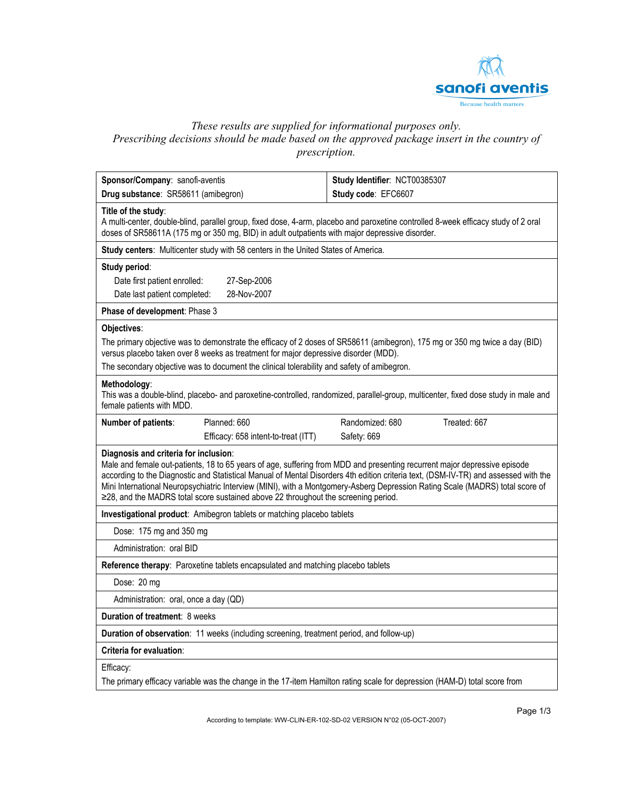

# *These results are supplied for informational purposes only.*

*Prescribing decisions should be made based on the approved package insert in the country of prescription.* 

| Sponsor/Company: sanofi-aventis                                                                                                                                                                                                                                                                                                                                                                                                                                                                                                  | Study Identifier: NCT00385307   |  |  |  |  |
|----------------------------------------------------------------------------------------------------------------------------------------------------------------------------------------------------------------------------------------------------------------------------------------------------------------------------------------------------------------------------------------------------------------------------------------------------------------------------------------------------------------------------------|---------------------------------|--|--|--|--|
| Drug substance: SR58611 (amibegron)                                                                                                                                                                                                                                                                                                                                                                                                                                                                                              | Study code: EFC6607             |  |  |  |  |
| Title of the study:<br>A multi-center, double-blind, parallel group, fixed dose, 4-arm, placebo and paroxetine controlled 8-week efficacy study of 2 oral<br>doses of SR58611A (175 mg or 350 mg, BID) in adult outpatients with major depressive disorder.                                                                                                                                                                                                                                                                      |                                 |  |  |  |  |
| Study centers: Multicenter study with 58 centers in the United States of America.                                                                                                                                                                                                                                                                                                                                                                                                                                                |                                 |  |  |  |  |
| Study period:                                                                                                                                                                                                                                                                                                                                                                                                                                                                                                                    |                                 |  |  |  |  |
| Date first patient enrolled:<br>27-Sep-2006                                                                                                                                                                                                                                                                                                                                                                                                                                                                                      |                                 |  |  |  |  |
| 28-Nov-2007<br>Date last patient completed:                                                                                                                                                                                                                                                                                                                                                                                                                                                                                      |                                 |  |  |  |  |
| Phase of development: Phase 3                                                                                                                                                                                                                                                                                                                                                                                                                                                                                                    |                                 |  |  |  |  |
| Objectives:                                                                                                                                                                                                                                                                                                                                                                                                                                                                                                                      |                                 |  |  |  |  |
| The primary objective was to demonstrate the efficacy of 2 doses of SR58611 (amibegron), 175 mg or 350 mg twice a day (BID)<br>versus placebo taken over 8 weeks as treatment for major depressive disorder (MDD).                                                                                                                                                                                                                                                                                                               |                                 |  |  |  |  |
| The secondary objective was to document the clinical tolerability and safety of amibegron.                                                                                                                                                                                                                                                                                                                                                                                                                                       |                                 |  |  |  |  |
| Methodology:<br>This was a double-blind, placebo- and paroxetine-controlled, randomized, parallel-group, multicenter, fixed dose study in male and<br>female patients with MDD.                                                                                                                                                                                                                                                                                                                                                  |                                 |  |  |  |  |
| Planned: 660<br>Number of patients:                                                                                                                                                                                                                                                                                                                                                                                                                                                                                              | Treated: 667<br>Randomized: 680 |  |  |  |  |
| Efficacy: 658 intent-to-treat (ITT)                                                                                                                                                                                                                                                                                                                                                                                                                                                                                              | Safety: 669                     |  |  |  |  |
| Diagnosis and criteria for inclusion:<br>Male and female out-patients, 18 to 65 years of age, suffering from MDD and presenting recurrent major depressive episode<br>according to the Diagnostic and Statistical Manual of Mental Disorders 4th edition criteria text, (DSM-IV-TR) and assessed with the<br>Mini International Neuropsychiatric Interview (MINI), with a Montgomery-Asberg Depression Rating Scale (MADRS) total score of<br>≥28, and the MADRS total score sustained above 22 throughout the screening period. |                                 |  |  |  |  |
| Investigational product: Amibegron tablets or matching placebo tablets                                                                                                                                                                                                                                                                                                                                                                                                                                                           |                                 |  |  |  |  |
| Dose: 175 mg and 350 mg                                                                                                                                                                                                                                                                                                                                                                                                                                                                                                          |                                 |  |  |  |  |
| Administration: oral BID                                                                                                                                                                                                                                                                                                                                                                                                                                                                                                         |                                 |  |  |  |  |
| Reference therapy: Paroxetine tablets encapsulated and matching placebo tablets                                                                                                                                                                                                                                                                                                                                                                                                                                                  |                                 |  |  |  |  |
| Dose: 20 mg                                                                                                                                                                                                                                                                                                                                                                                                                                                                                                                      |                                 |  |  |  |  |
| Administration: oral, once a day (QD)                                                                                                                                                                                                                                                                                                                                                                                                                                                                                            |                                 |  |  |  |  |
| Duration of treatment: 8 weeks                                                                                                                                                                                                                                                                                                                                                                                                                                                                                                   |                                 |  |  |  |  |
| Duration of observation: 11 weeks (including screening, treatment period, and follow-up)                                                                                                                                                                                                                                                                                                                                                                                                                                         |                                 |  |  |  |  |
| Criteria for evaluation:                                                                                                                                                                                                                                                                                                                                                                                                                                                                                                         |                                 |  |  |  |  |
| Efficacy:<br>The primary efficacy variable was the change in the 17-item Hamilton rating scale for depression (HAM-D) total score from                                                                                                                                                                                                                                                                                                                                                                                           |                                 |  |  |  |  |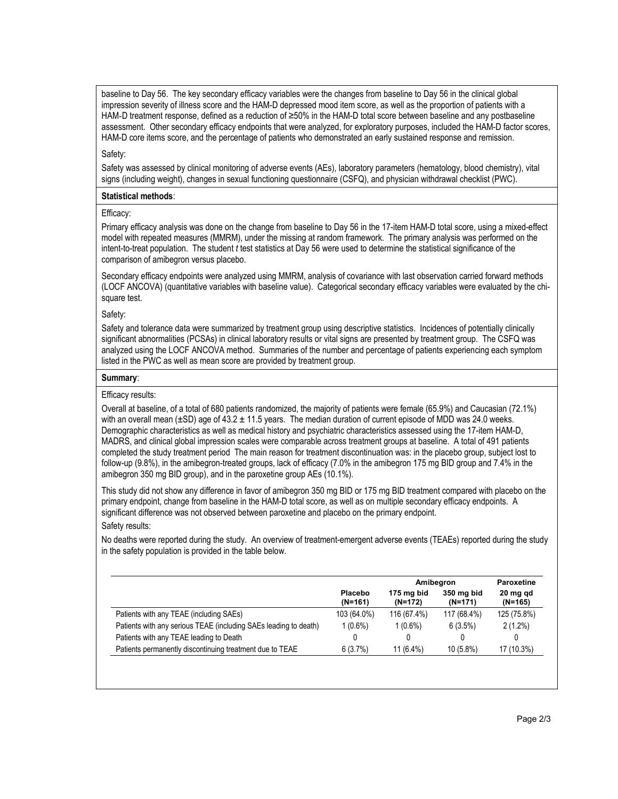baseline to Day 56. The key secondary efficacy variables were the changes from baseline to Day 56 in the clinical global impression severity of illness score and the HAM-D depressed mood item score, as well as the proportion of patients with a HAM-D treatment response, defined as a reduction of ≥50% in the HAM-D total score between baseline and any postbaseline assessment. Other secondary efficacy endpoints that were analyzed, for exploratory purposes, included the HAM-D factor scores, HAM-D core items score, and the percentage of patients who demonstrated an early sustained response and remission.

## Safety:

Safety was assessed by clinical monitoring of adverse events (AEs), laboratory parameters (hematology, blood chemistry), vital signs (including weight), changes in sexual functioning questionnaire (CSFQ), and physician withdrawal checklist (PWC).

### **Statistical methods**:

### Efficacy:

Primary efficacy analysis was done on the change from baseline to Day 56 in the 17-item HAM-D total score, using a mixed-effect model with repeated measures (MMRM), under the missing at random framework. The primary analysis was performed on the intent-to-treat population. The student *t* test statistics at Day 56 were used to determine the statistical significance of the comparison of amibegron versus placebo.

Secondary efficacy endpoints were analyzed using MMRM, analysis of covariance with last observation carried forward methods (LOCF ANCOVA) (quantitative variables with baseline value). Categorical secondary efficacy variables were evaluated by the chisquare test.

### Safety:

Safety and tolerance data were summarized by treatment group using descriptive statistics. Incidences of potentially clinically significant abnormalities (PCSAs) in clinical laboratory results or vital signs are presented by treatment group. The CSFQ was analyzed using the LOCF ANCOVA method. Summaries of the number and percentage of patients experiencing each symptom listed in the PWC as well as mean score are provided by treatment group.

### **Summary**:

### Efficacy results:

Overall at baseline, of a total of 680 patients randomized, the majority of patients were female (65.9%) and Caucasian (72.1%) with an overall mean ( $\pm$ SD) age of 43.2  $\pm$  11.5 years. The median duration of current episode of MDD was 24.0 weeks. Demographic characteristics as well as medical history and psychiatric characteristics assessed using the 17-item HAM-D, MADRS, and clinical global impression scales were comparable across treatment groups at baseline. A total of 491 patients completed the study treatment period The main reason for treatment discontinuation was: in the placebo group, subject lost to follow-up (9.8%), in the amibegron-treated groups, lack of efficacy (7.0% in the amibegron 175 mg BID group and 7.4% in the amibegron 350 mg BID group), and in the paroxetine group AEs (10.1%).

This study did not show any difference in favor of amibegron 350 mg BID or 175 mg BID treatment compared with placebo on the primary endpoint, change from baseline in the HAM-D total score, as well as on multiple secondary efficacy endpoints. A significant difference was not observed between paroxetine and placebo on the primary endpoint. Safety results:

No deaths were reported during the study. An overview of treatment-emergent adverse events (TEAEs) reported during the study in the safety population is provided in the table below.

|                                                                  |                      |                       | Amibegron               |                       |
|------------------------------------------------------------------|----------------------|-----------------------|-------------------------|-----------------------|
|                                                                  | Placebo<br>$(N=161)$ | 175 mg bid<br>(N=172) | 350 mg bid<br>$(N=171)$ | 20 mg gd<br>$(N=165)$ |
| Patients with any TEAE (including SAEs)                          | 103 (64.0%)          | 116 (67.4%)           | 117 (68.4%)             | 125 (75.8%)           |
| Patients with any serious TEAE (including SAEs leading to death) | $1(0.6\%)$           | $1(0.6\%)$            | 6(3.5%)                 | $2(1.2\%)$            |
| Patients with any TEAE leading to Death                          |                      |                       |                         | 0                     |
| Patients permanently discontinuing treatment due to TEAE         | 6(3.7%)              | $11(6.4\%)$           | $10(5.8\%)$             | 17 (10.3%)            |